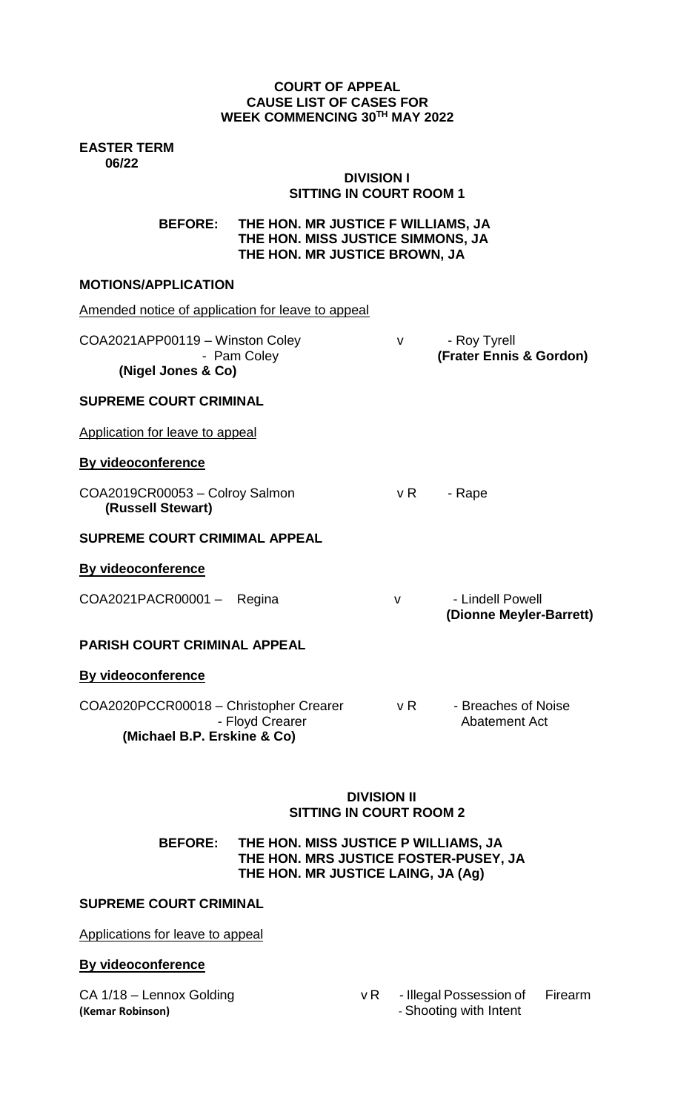## **COURT OF APPEAL CAUSE LIST OF CASES FOR WEEK COMMENCING 30TH MAY 2022**

**EASTER TERM 06/22**

# **DIVISION I SITTING IN COURT ROOM 1**

**BEFORE: THE HON. MR JUSTICE F WILLIAMS, JA THE HON. MISS JUSTICE SIMMONS, JA THE HON. MR JUSTICE BROWN, JA**

# **MOTIONS/APPLICATION**

| Amended notice of application for leave to appeal                                        |              |                                             |
|------------------------------------------------------------------------------------------|--------------|---------------------------------------------|
| COA2021APP00119 - Winston Coley<br>- Pam Coley<br>(Nigel Jones & Co)                     | $\vee$       | - Roy Tyrell<br>(Frater Ennis & Gordon)     |
| <b>SUPREME COURT CRIMINAL</b>                                                            |              |                                             |
| Application for leave to appeal                                                          |              |                                             |
| By videoconference                                                                       |              |                                             |
| COA2019CR00053 - Colroy Salmon<br>(Russell Stewart)                                      | v R          | - Rape                                      |
| <b>SUPREME COURT CRIMIMAL APPEAL</b>                                                     |              |                                             |
| <b>By videoconference</b>                                                                |              |                                             |
| COA2021PACR00001 - Regina                                                                | $\mathsf{V}$ | - Lindell Powell<br>(Dionne Meyler-Barrett) |
| <b>PARISH COURT CRIMINAL APPEAL</b>                                                      |              |                                             |
| <b>By videoconference</b>                                                                |              |                                             |
| COA2020PCCR00018 - Christopher Crearer<br>- Floyd Crearer<br>(Michael B.P. Erskine & Co) | vR           | - Breaches of Noise<br><b>Abatement Act</b> |
|                                                                                          |              |                                             |

### **DIVISION II SITTING IN COURT ROOM 2**

## **BEFORE: THE HON. MISS JUSTICE P WILLIAMS, JA THE HON. MRS JUSTICE FOSTER-PUSEY, JA THE HON. MR JUSTICE LAING, JA (Ag)**

### **SUPREME COURT CRIMINAL**

Applications for leave to appeal

# **By videoconference**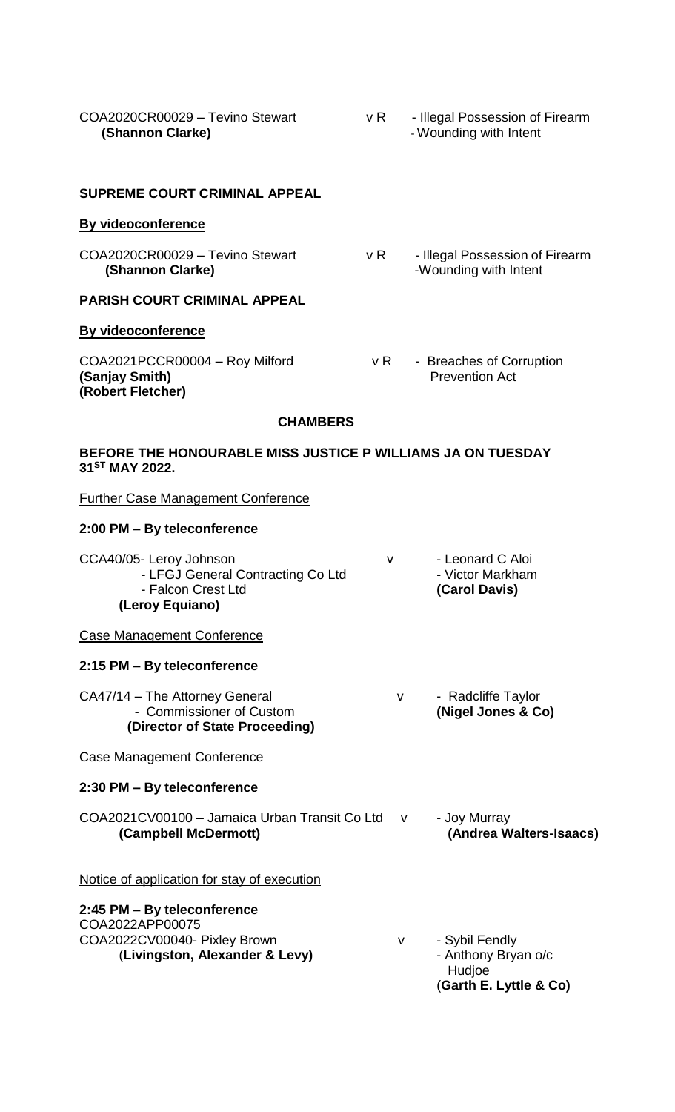| COA2020CR00029 - Tevino Stewart<br>(Shannon Clarke)                                                              | vR           | - Illegal Possession of Firearm<br>- Wounding with Intent                 |
|------------------------------------------------------------------------------------------------------------------|--------------|---------------------------------------------------------------------------|
| <b>SUPREME COURT CRIMINAL APPEAL</b>                                                                             |              |                                                                           |
| <b>By videoconference</b>                                                                                        |              |                                                                           |
| COA2020CR00029 - Tevino Stewart<br>(Shannon Clarke)                                                              | v R          | - Illegal Possession of Firearm<br>-Wounding with Intent                  |
| <b>PARISH COURT CRIMINAL APPEAL</b>                                                                              |              |                                                                           |
| <b>By videoconference</b>                                                                                        |              |                                                                           |
| COA2021PCCR00004 - Roy Milford<br>(Sanjay Smith)<br>(Robert Fletcher)                                            | v R          | - Breaches of Corruption<br><b>Prevention Act</b>                         |
| <b>CHAMBERS</b>                                                                                                  |              |                                                                           |
| BEFORE THE HONOURABLE MISS JUSTICE P WILLIAMS JA ON TUESDAY<br>31 <sup>ST</sup> MAY 2022.                        |              |                                                                           |
| <b>Further Case Management Conference</b>                                                                        |              |                                                                           |
| 2:00 PM - By teleconference                                                                                      |              |                                                                           |
| CCA40/05- Leroy Johnson<br>- LFGJ General Contracting Co Ltd<br>- Falcon Crest Ltd<br>(Leroy Equiano)            | $\mathsf{V}$ | - Leonard C Aloi<br>- Victor Markham<br>(Carol Davis)                     |
| Case Management Conference                                                                                       |              |                                                                           |
| 2:15 PM - By teleconference                                                                                      |              |                                                                           |
| CA47/14 - The Attorney General<br>- Commissioner of Custom<br>(Director of State Proceeding)                     | v            | - Radcliffe Taylor<br>(Nigel Jones & Co)                                  |
| <b>Case Management Conference</b>                                                                                |              |                                                                           |
| 2:30 PM - By teleconference                                                                                      |              |                                                                           |
| COA2021CV00100 - Jamaica Urban Transit Co Ltd v<br>(Campbell McDermott)                                          |              | - Joy Murray<br>(Andrea Walters-Isaacs)                                   |
| <u>Notice of application for stay of execution</u>                                                               |              |                                                                           |
| 2:45 PM – By teleconference<br>COA2022APP00075<br>COA2022CV00040- Pixley Brown<br>(Livingston, Alexander & Levy) | v            | - Sybil Fendly<br>- Anthony Bryan o/c<br>Hudjoe<br>(Garth E. Lyttle & Co) |